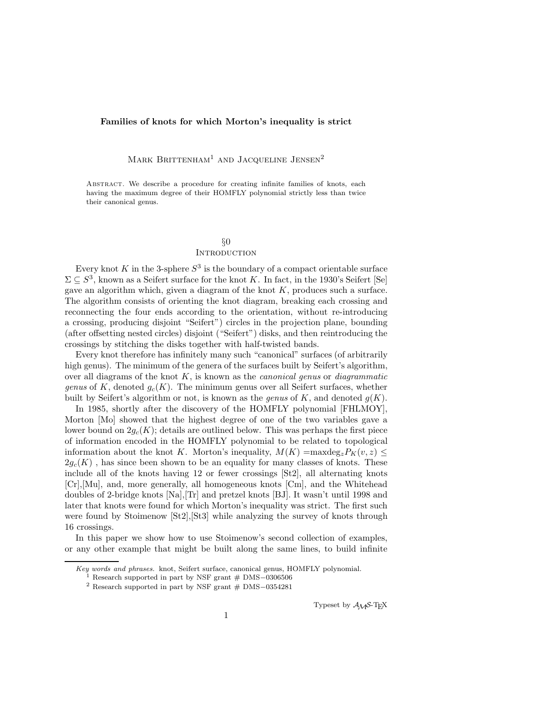#### **Families of knots for which Morton's inequality is strict**

MARK BRITTENHAM<sup>1</sup> AND JACQUELINE JENSEN<sup>2</sup>

Abstract. We describe a procedure for creating infinite families of knots, each having the maximum degree of their HOMFLY polynomial strictly less than twice their canonical genus.

# §0

## **INTRODUCTION**

Every knot K in the 3-sphere  $S^3$  is the boundary of a compact orientable surface  $\Sigma \subseteq S^3$ , known as a Seifert surface for the knot K. In fact, in the 1930's Seifert [Se] gave an algorithm which, given a diagram of the knot  $K$ , produces such a surface. The algorithm consists of orienting the knot diagram, breaking each crossing and reconnecting the four ends according to the orientation, without re-introducing a crossing, producing disjoint "Seifert") circles in the projection plane, bounding (after offsetting nested circles) disjoint ("Seifert") disks, and then reintroducing the crossings by stitching the disks together with half-twisted bands.

Every knot therefore has infinitely many such "canonical" surfaces (of arbitrarily high genus). The minimum of the genera of the surfaces built by Seifert's algorithm, over all diagrams of the knot K, is known as the *canonical genus* or *diagrammatic genus* of K, denoted  $g_c(K)$ . The minimum genus over all Seifert surfaces, whether built by Seifert's algorithm or not, is known as the *genus* of K, and denoted  $g(K)$ .

In 1985, shortly after the discovery of the HOMFLY polynomial [FHLMOY], Morton [Mo] showed that the highest degree of one of the two variables gave a lower bound on  $2g_c(K)$ ; details are outlined below. This was perhaps the first piece of information encoded in the HOMFLY polynomial to be related to topological information about the knot K. Morton's inequality,  $M(K) = \max \deg_z P_K(v, z) \leq$  $2g_c(K)$ , has since been shown to be an equality for many classes of knots. These include all of the knots having 12 or fewer crossings [St2], all alternating knots [Cr],[Mu], and, more generally, all homogeneous knots [Cm], and the Whitehead doubles of 2-bridge knots [Na],[Tr] and pretzel knots [BJ]. It wasn't until 1998 and later that knots were found for which Morton's inequality was strict. The first such were found by Stoimenow [St2],[St3] while analyzing the survey of knots through 16 crossings.

In this paper we show how to use Stoimenow's second collection of examples, or any other example that might be built along the same lines, to build infinite

Typeset by  $A_{\mathcal{M}}S$ -T<sub>E</sub>X

Key words and phrases. knot, Seifert surface, canonical genus, HOMFLY polynomial.  $1$  Research supported in part by NSF grant  $#$  DMS–0306506

<sup>1</sup> Research supported in part by NSF grant # DMS*−*<sup>0306506</sup> <sup>2</sup> Research supported in part by NSF grant # DMS*−*<sup>0354281</sup>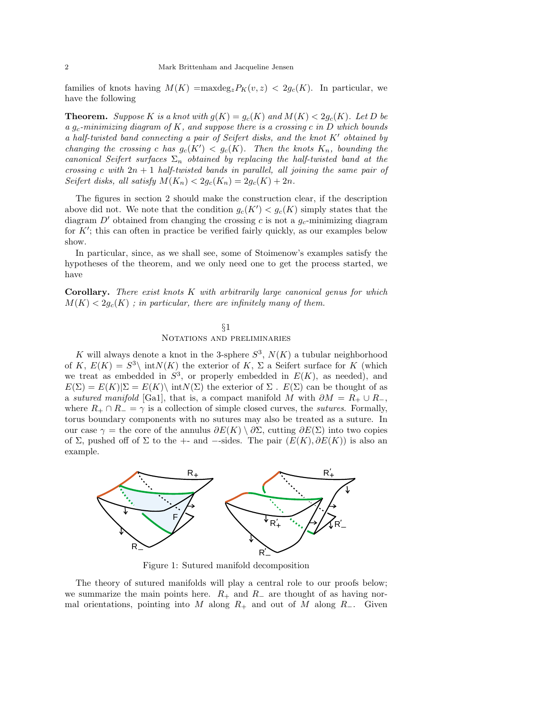families of knots having  $M(K) = \max \deg_z P_K(v, z) < 2g_c(K)$ . In particular, we have the following

**Theorem.** *Suppose* K *is a knot with*  $g(K) = g_c(K)$  *and*  $M(K) < 2g_c(K)$ *. Let* D *be <sup>a</sup>* g*<sup>c</sup>-minimizing diagram of* <sup>K</sup>*, and suppose there is a crossing* <sup>c</sup> *in* <sup>D</sup> *which bounds a half-twisted band connecting a pair of Seifert disks, and the knot* K' obtained by *changing the crossing* c *has*  $g_c(K') < g_c(K)$ . Then the knots  $K_n$ *, bounding the*<br>canonical Seitert surfaces  $\Sigma$ , obtained by replacing the half-twisted band at the *canonical Seifert surfaces* Σ*<sup>n</sup> obtained by replacing the half-twisted band at the crossing* c *with* <sup>2</sup>n + 1 *half-twisted bands in parallel, all joining the same pair of Seifert disks, all satisfy*  $M(K_n) < 2g_c(K_n) = 2g_c(K) + 2n$ .

The figures in section 2 should make the construction clear, if the description above did not. We note that the condition  $g_c(K') < g_c(K)$  simply states that the diagram  $D'$  obtained from changing the crossing c is not a g-minimizing diagram diagram  $D'$  obtained from changing the crossing c is not a  $g_c$ -minimizing diagram for  $K'$ ; this can often in practice be verified fairly quickly, as our examples below<br>show show.

In particular, since, as we shall see, some of Stoimenow's examples satisfy the hypotheses of the theorem, and we only need one to get the process started, we have

**Corollary.** *There exist knots* K *with arbitrarily large canonical genus for which*  $M(K) < 2q_c(K)$ ; in particular, there are infinitely many of them.

#### §1 Notations and preliminaries

K will always denote a knot in the 3-sphere  $S^3$ ,  $N(K)$  a tubular neighborhood of K,  $E(K) = S^3$  int $N(K)$  the exterior of K,  $\Sigma$  a Seifert surface for K (which we treat as embedded in  $S^3$ , or properly embedded in  $E(K)$ , as needed), and  $E(\Sigma) = E(K)|\Sigma = E(K)\setminus \text{int}N(\Sigma)$  the exterior of  $\Sigma$ .  $E(\Sigma)$  can be thought of as a *sutured manifold* [Ga1], that is, a compact manifold M with  $\partial M = R_+ \cup R_-,$ where  $R_+ \cap R_- = \gamma$  is a collection of simple closed curves, the *sutures*. Formally, torus boundary components with no sutures may also be treated as a suture. In our case  $\gamma$  = the core of the annulus  $\partial E(K) \setminus \partial \Sigma$ , cutting  $\partial E(\Sigma)$  into two copies of  $\Sigma$ , pushed off of  $\Sigma$  to the +- and --sides. The pair  $(E(K), \partial E(K))$  is also an example.



Figure 1: Sutured manifold decomposition

The theory of sutured manifolds will play a central role to our proofs below; we summarize the main points here.  $R_+$  and  $R_-$  are thought of as having normal orientations, pointing into M along  $R_+$  and out of M along  $R_-$ . Given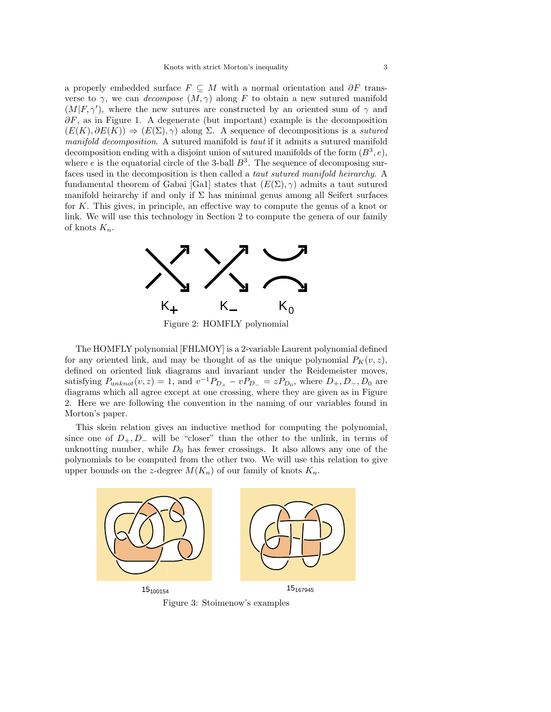a properly embedded surface  $F \subseteq M$  with a normal orientation and  $\partial F$  transverse to  $\gamma$ , we can *decompose*  $(M, \gamma)$  along F to obtain a new sutured manifold  $(M|F, \gamma')$ , where the new sutures are constructed by an oriented sum of  $\gamma$  and  $\partial F$  as in Figure 1. A deconomies (but important) example is the deconomic sum  $\partial F$ , as in Figure 1. A degenerate (but important) example is the decomposition  $(E(K), \partial E(K)) \Rightarrow (E(\Sigma), \gamma)$  along  $\Sigma$ . A sequence of decompositions is a *sutured manifold decomposition*. A sutured manifold is *taut* if it admits a sutured manifold decomposition ending with a disjoint union of sutured manifolds of the form  $(B^3, e)$ , where  $e$  is the equatorial circle of the 3-ball  $B^3$ . The sequence of decomposing surfaces used in the decomposition is then called a *taut sutured manifold heirarchy*. A fundamental theorem of Gabai [Ga1] states that  $(E(\Sigma), \gamma)$  admits a taut sutured manifold heirarchy if and only if  $\Sigma$  has minimal genus among all Seifert surfaces for K. This gives, in principle, an effective way to compute the genus of a knot or link. We will use this technology in Section 2 to compute the genera of our family of knots <sup>K</sup>*n*.



Figure 2: HOMFLY polynomial

The HOMFLY polynomial [FHLMOY] is a 2-variable Laurent polynomial defined for any oriented link, and may be thought of as the unique polynomial  $P_K(v, z)$ , defined on oriented link diagrams and invariant under the Reidemeister moves, satisfying  $P_{unknown}(v, z) = 1$ , and  $v^{-1}P_{D_{+}} - vP_{D_{-}} = zP_{D_{0}}$ , where  $D_{+}, D_{-}, D_{0}$  are diagrams which all agree except at one crossing, where they are given as in Figure 2. Here we are following the convention in the naming of our variables found in Morton's paper.

This skein relation gives an inductive method for computing the polynomial, since one of  $D_+, D_-$  will be "closer" than the other to the unlink, in terms of unknotting number, while  $D_0$  has fewer crossings. It also allows any one of the polynomials to be computed from the other two. We will use this relation to give upper bounds on the z-degree  $M(K_n)$  of our family of knots  $K_n$ .



Figure 3: Stoimenow's examples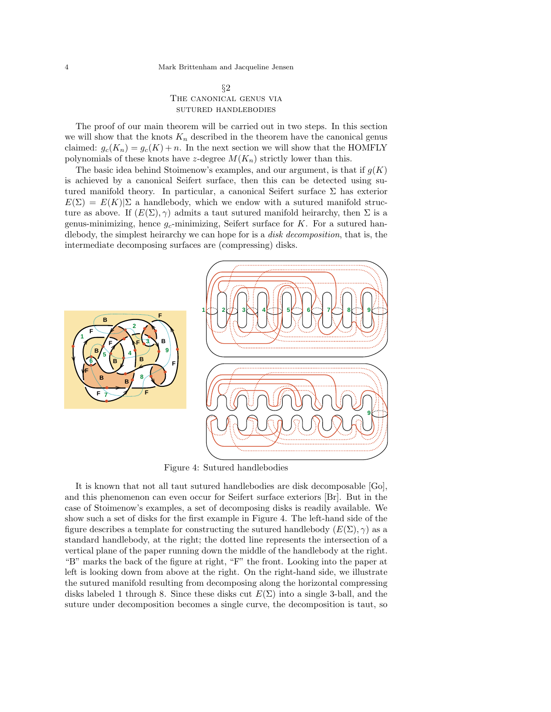### §2 The canonical genus via sutured handlebodies

The proof of our main theorem will be carried out in two steps. In this section we will show that the knots  $K_n$  described in the theorem have the canonical genus claimed:  $g_c(K_n) = g_c(K) + n$ . In the next section we will show that the HOMFLY polynomials of these knots have z-degree  $M(K_n)$  strictly lower than this.

The basic idea behind Stoimenow's examples, and our argument, is that if  $g(K)$ is achieved by a canonical Seifert surface, then this can be detected using sutured manifold theory. In particular, a canonical Seifert surface  $\Sigma$  has exterior  $E(\Sigma) = E(K)|\Sigma$  a handlebody, which we endow with a sutured manifold structure as above. If  $(E(\Sigma), \gamma)$  admits a taut sutured manifold heirarchy, then  $\Sigma$  is a genus-minimizing, hence <sup>g</sup>*c*-minimizing, Seifert surface for K. For a sutured handlebody, the simplest heirarchy we can hope for is a *disk decomposition*, that is, the intermediate decomposing surfaces are (compressing) disks.



Figure 4: Sutured handlebodies

It is known that not all taut sutured handlebodies are disk decomposable [Go], and this phenomenon can even occur for Seifert surface exteriors [Br]. But in the case of Stoimenow's examples, a set of decomposing disks is readily available. We show such a set of disks for the first example in Figure 4. The left-hand side of the figure describes a template for constructing the sutured handlebody  $(E(\Sigma), \gamma)$  as a standard handlebody, at the right; the dotted line represents the intersection of a vertical plane of the paper running down the middle of the handlebody at the right. "B" marks the back of the figure at right, "F" the front. Looking into the paper at left is looking down from above at the right. On the right-hand side, we illustrate the sutured manifold resulting from decomposing along the horizontal compressing disks labeled 1 through 8. Since these disks cut  $E(\Sigma)$  into a single 3-ball, and the suture under decomposition becomes a single curve, the decomposition is taut, so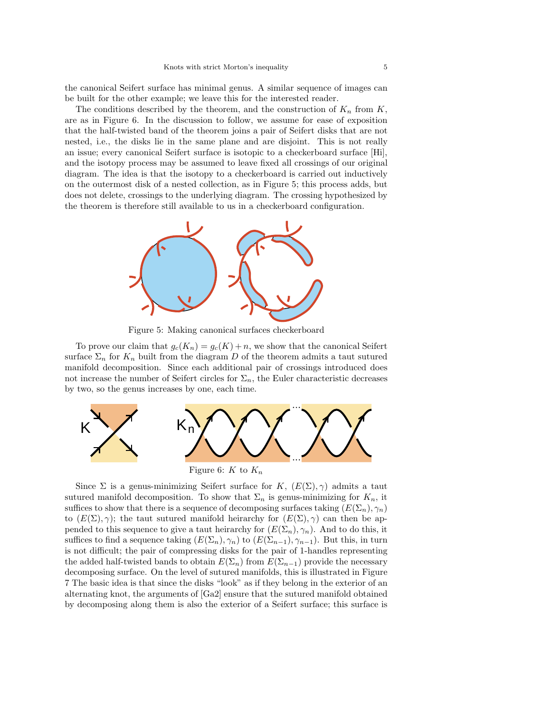the canonical Seifert surface has minimal genus. A similar sequence of images can be built for the other example; we leave this for the interested reader.

The conditions described by the theorem, and the construction of  $K_n$  from  $K$ , are as in Figure 6. In the discussion to follow, we assume for ease of exposition that the half-twisted band of the theorem joins a pair of Seifert disks that are not nested, i.e., the disks lie in the same plane and are disjoint. This is not really an issue; every canonical Seifert surface is isotopic to a checkerboard surface [Hi], and the isotopy process may be assumed to leave fixed all crossings of our original diagram. The idea is that the isotopy to a checkerboard is carried out inductively on the outermost disk of a nested collection, as in Figure 5; this process adds, but does not delete, crossings to the underlying diagram. The crossing hypothesized by the theorem is therefore still available to us in a checkerboard configuration.



Figure 5: Making canonical surfaces checkerboard

To prove our claim that  $g_c(K_n) = g_c(K) + n$ , we show that the canonical Seifert surface  $\Sigma_n$  for  $K_n$  built from the diagram D of the theorem admits a taut sutured manifold decomposition. Since each additional pair of crossings introduced does not increase the number of Seifert circles for  $\Sigma_n$ , the Euler characteristic decreases by two, so the genus increases by one, each time.



Since  $\Sigma$  is a genus-minimizing Seifert surface for K,  $(E(\Sigma), \gamma)$  admits a taut sutured manifold decomposition. To show that  $\Sigma_n$  is genus-minimizing for  $K_n$ , it suffices to show that there is a sequence of decomposing surfaces taking  $(E(\Sigma_n), \gamma_n)$ to  $(E(\Sigma), \gamma)$ ; the taut sutured manifold heirarchy for  $(E(\Sigma), \gamma)$  can then be appended to this sequence to give a taut heirarchy for  $(E(\Sigma_n), \gamma_n)$ . And to do this, it suffices to find a sequence taking  $(E(\Sigma_n), \gamma_n)$  to  $(E(\Sigma_{n-1}), \gamma_{n-1})$ . But this, in turn is not difficult; the pair of compressing disks for the pair of 1-handles representing the added half-twisted bands to obtain  $E(\Sigma_n)$  from  $E(\Sigma_{n-1})$  provide the necessary decomposing surface. On the level of sutured manifolds, this is illustrated in Figure 7 The basic idea is that since the disks "look" as if they belong in the exterior of an alternating knot, the arguments of [Ga2] ensure that the sutured manifold obtained by decomposing along them is also the exterior of a Seifert surface; this surface is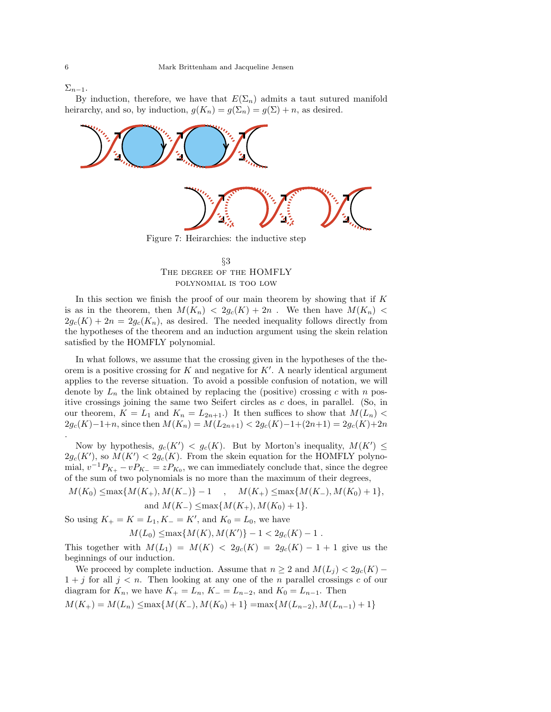.

 $\Sigma_{n-1}$ .

By induction, therefore, we have that  $E(\Sigma_n)$  admits a taut sutured manifold heirarchy, and so, by induction,  $g(K_n) = g(\Sigma_n) = g(\Sigma) + n$ , as desired.



## §3 The degree of the HOMFLY polynomial is too low

In this section we finish the proof of our main theorem by showing that if  $K$ is as in the theorem, then  $M(K_n) < 2g_c(K) + 2n$ . We then have  $M(K_n) <$  $2g_c(K) + 2n = 2g_c(K_n)$ , as desired. The needed inequality follows directly from the hypotheses of the theorem and an induction argument using the skein relation satisfied by the HOMFLY polynomial.

In what follows, we assume that the crossing given in the hypotheses of the theorem is a positive crossing for K and negative for  $K'$ . A nearly identical argument<br>applies to the reverse situation. To avoid a possible confusion of notation, we will applies to the reverse situation. To avoid a possible confusion of notation, we will denote by  $L_n$  the link obtained by replacing the (positive) crossing c with n positive crossings joining the same two Seifert circles as c does, in parallel. (So, in our theorem,  $K = L_1$  and  $K_n = L_{2n+1}$ .) It then suffices to show that  $M(L_n)$  $2g_c(K)-1+n$ , since then  $M(K_n) = M(L_{2n+1}) < 2g_c(K)-1+(2n+1) = 2g_c(K)+2n$ 

Now by hypothesis,  $g_c(K') < g_c(K)$ . But by Morton's inequality,  $M(K') \leq (K')$  so  $M(K') < 2g_c(K)$ . From the skein equation for the HOMFLY polyno- $2g_c(K')$ , so  $M(K') < 2g_c(K)$ . From the skein equation for the HOMFLY polyno-<br>mial  $v^{-1}Px = vPx = zPx$ , we can immediately conclude that, since the degree mial,  $v^{-1}P_{K_+} - vP_{K_-} = zP_{K_0}$ , we can immediately conclude that, since the degree of the sum of two polynomials is no more than the maximum of their degrees,

 $M(K_0) \leq \max\{M(K_+), M(K_-)\} - 1$ ,  $M(K_+) \leq \max\{M(K_-), M(K_0) + 1\},$ and  $M(K_{-}) \leq \max\{M(K_{+}), M(K_{0})+1\}.$ 

So using  $K_+ = K = L_1, K_- = K'$ , and  $K_0 = L_0$ , we have

$$
M(L_0) \le \max\{M(K), M(K')\} - 1 < 2g_c(K) - 1 \,.
$$

This together with  $M(L_1) = M(K) < 2g_c(K) = 2g_c(K) - 1 + 1$  give us the heginnings of our induction beginnings of our induction.

We proceed by complete induction. Assume that  $n \geq 2$  and  $M(L_i) < 2g_c(K)$  –  $1 + j$  for all  $j < n$ . Then looking at any one of the n parallel crossings c of our diagram for  $K_n$ , we have  $K_+ = L_n$ ,  $K_- = L_{n-2}$ , and  $K_0 = L_{n-1}$ . Then  $M(K_{+}) = M(L_{n}) \leq \max\{M(K_{-}), M(K_{0})+1\} = \max\{M(L_{n-2}), M(L_{n-1})+1\}$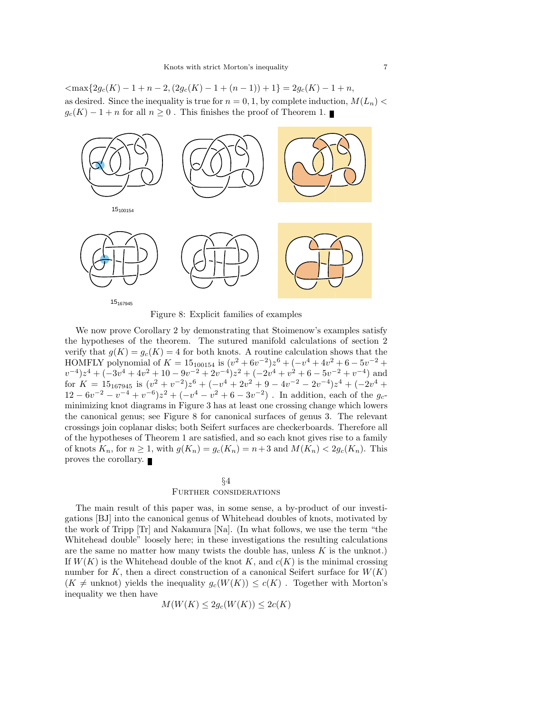$\langle \max\{2g_c(K)-1+n-2,(2g_c(K)-1+(n-1))+1\}=2g_c(K)-1+n,$ as desired. Since the inequality is true for  $n = 0, 1$ , by complete induction,  $M(L_n)$  $g_c(K) - 1 + n$  for all  $n \geq 0$ . This finishes the proof of Theorem 1.



Figure 8: Explicit families of examples

We now prove Corollary 2 by demonstrating that Stoimenow's examples satisfy the hypotheses of the theorem. The sutured manifold calculations of section 2 verify that  $g(K) = g_c(K) = 4$  for both knots. A routine calculation shows that the HOMELY polynomial of  $K = 15$  and  $s$  ( $x^2 + 6y^{-2}$ ) $x^6 + (-y^4 + 4y^2 + 6 - 5y^{-2} +$ HOMFLY polynomial of  $K = 15_{100154}$  is  $(v^2 + 6v^{-2})z^6 + (-v^4 + 4v^2 + 6 - 5v^{-2} + v^{-4})z^4 + (-3v^4 + 4v^2 + 10 - 9v^{-2} + 2v^{-4})z^2 + (-2v^4 + v^2 + 6 - 5v^{-2} + v^{-4})$  and  $v^{-4}z^4 + (-3v^4 + 4v^2 + 10 - 9v^{-2} + 2v^{-4})z^2 + (-2v^4 + v^2 + 6 - 5v^{-2} + v^{-4})$  and<br>for  $K = 15$  are  $v = 15$  are  $v = 15$  are  $v = 15$  are  $v = 15$  are  $v = 15$  are  $v = 15$  are  $v = 15$  are  $v = 15$  are  $v = 15$  are  $v = 15$  are  $v = 15$  are for  $K = 15_{167945}$  is  $(v^2 + v^{-2})z^6 + (-v^4 + 2v^2 + 9 - 4v^{-2} - 2v^{-4})z^4 + (-2v^4 + 12 - 6v^{-2} - v^{-4} + v^{-6})z^2 + (-v^4 - v^2 + 6 - 3v^{-2})$  In addition each of the  $a_{\text{c}}$  $12 - 6v^{-2} - v^{-4} + v^{-6}$ ) $z^{2} + (-v^{4} - v^{2} + 6 - 3v^{-2})$ . In addition, each of the  $g_c$ -<br>minimizing knot diagrams in Figure 3 has at least one crossing change which lowers minimizing knot diagrams in Figure 3 has at least one crossing change which lowers the canonical genus; see Figure 8 for canonical surfaces of genus 3. The relevant crossings join coplanar disks; both Seifert surfaces are checkerboards. Therefore all of the hypotheses of Theorem 1 are satisfied, and so each knot gives rise to a family of knots  $K_n$ , for  $n \geq 1$ , with  $g(K_n) = g_c(K_n) = n+3$  and  $M(K_n) < 2g_c(K_n)$ . This proves the corollary.

### §4 Further considerations

The main result of this paper was, in some sense, a by-product of our investigations [BJ] into the canonical genus of Whitehead doubles of knots, motivated by the work of Tripp [Tr] and Nakamura [Na]. (In what follows, we use the term "the Whitehead double" loosely here; in these investigations the resulting calculations are the same no matter how many twists the double has, unless  $K$  is the unknot.) If  $W(K)$  is the Whitehead double of the knot K, and  $c(K)$  is the minimal crossing number for K, then a direct construction of a canonical Seifert surface for  $W(K)$  $(K \neq$  unknot) yields the inequality  $g_c(W(K)) \leq c(K)$ . Together with Morton's inequality we then have

$$
M(W(K) \le 2g_c(W(K)) \le 2c(K)
$$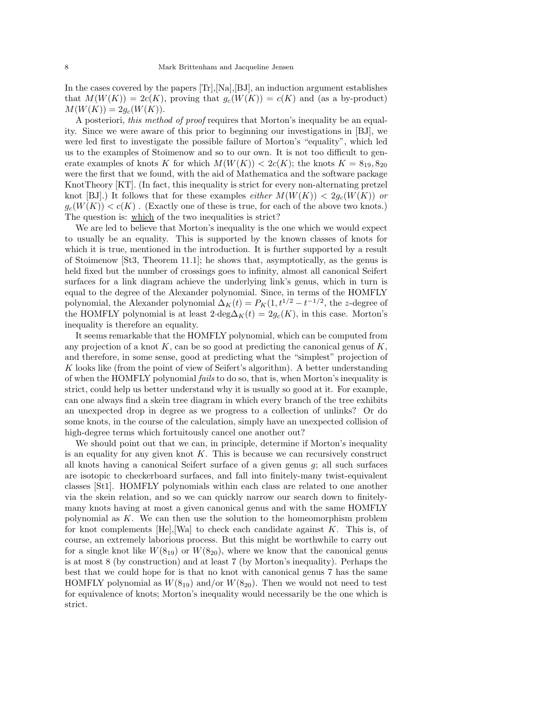In the cases covered by the papers [Tr],[Na],[BJ], an induction argument establishes that  $M(W(K)) = 2c(K)$ , proving that  $g_c(W(K)) = c(K)$  and (as a by-product)  $M(W(K)) = 2g_c(W(K)).$ 

A posteriori, *this method of proof* requires that Morton's inequality be an equality. Since we were aware of this prior to beginning our investigations in [BJ], we were led first to investigate the possible failure of Morton's "equality", which led us to the examples of Stoimenow and so to our own. It is not too difficult to generate examples of knots K for which  $M(W(K)) < 2c(K)$ ; the knots  $K = 8<sub>19</sub>, 8<sub>20</sub>$ were the first that we found, with the aid of Mathematica and the software package KnotTheory [KT]. (In fact, this inequality is strict for every non-alternating pretzel knot [BJ].) It follows that for these examples *either*  $M(W(K)) < 2q_c(W(K))$  *or*  $g_c(W(K)) < c(K)$ . (Exactly one of these is true, for each of the above two knots.) The question is: which of the two inequalities is strict?

We are led to believe that Morton's inequality is the one which we would expect to usually be an equality. This is supported by the known classes of knots for which it is true, mentioned in the introduction. It is further supported by a result of Stoimenow [St3, Theorem 11.1]; he shows that, asymptotically, as the genus is held fixed but the number of crossings goes to infinity, almost all canonical Seifert surfaces for a link diagram achieve the underlying link's genus, which in turn is equal to the degree of the Alexander polynomial. Since, in terms of the HOMFLY polynomial, the Alexander polynomial  $\Delta_K(t) = P_K(1, t^{1/2} - t^{-1/2})$ , the z-degree of the HOMELY polynomial is at least  $2 \cdot \text{deg} \Delta_K(t) = 2a(K)$  in this case. Morton's the HOMFLY polynomial is at least  $2 \deg \Delta_K(t) = 2g_c(K)$ , in this case. Morton's inequality is therefore an equality.

It seems remarkable that the HOMFLY polynomial, which can be computed from any projection of a knot  $K$ , can be so good at predicting the canonical genus of  $K$ , and therefore, in some sense, good at predicting what the "simplest" projection of K looks like (from the point of view of Seifert's algorithm). A better understanding of when the HOMFLY polynomial *fails* to do so, that is, when Morton's inequality is strict, could help us better understand why it is usually so good at it. For example, can one always find a skein tree diagram in which every branch of the tree exhibits an unexpected drop in degree as we progress to a collection of unlinks? Or do some knots, in the course of the calculation, simply have an unexpected collision of high-degree terms which fortuitously cancel one another out?

We should point out that we can, in principle, determine if Morton's inequality is an equality for any given knot  $K$ . This is because we can recursively construct all knots having a canonical Seifert surface of a given genus  $g$ ; all such surfaces are isotopic to checkerboard surfaces, and fall into finitely-many twist-equivalent classes [St1]. HOMFLY polynomials within each class are related to one another via the skein relation, and so we can quickly narrow our search down to finitelymany knots having at most a given canonical genus and with the same HOMFLY polynomial as  $K$ . We can then use the solution to the homeomorphism problem for knot complements  $[He], [Wa]$  to check each candidate against K. This is, of course, an extremely laborious process. But this might be worthwhile to carry out for a single knot like  $W(8_{19})$  or  $W(8_{20})$ , where we know that the canonical genus is at most 8 (by construction) and at least 7 (by Morton's inequality). Perhaps the best that we could hope for is that no knot with canonical genus 7 has the same HOMFLY polynomial as  $W(8_{19})$  and/or  $W(8_{20})$ . Then we would not need to test for equivalence of knots; Morton's inequality would necessarily be the one which is strict.